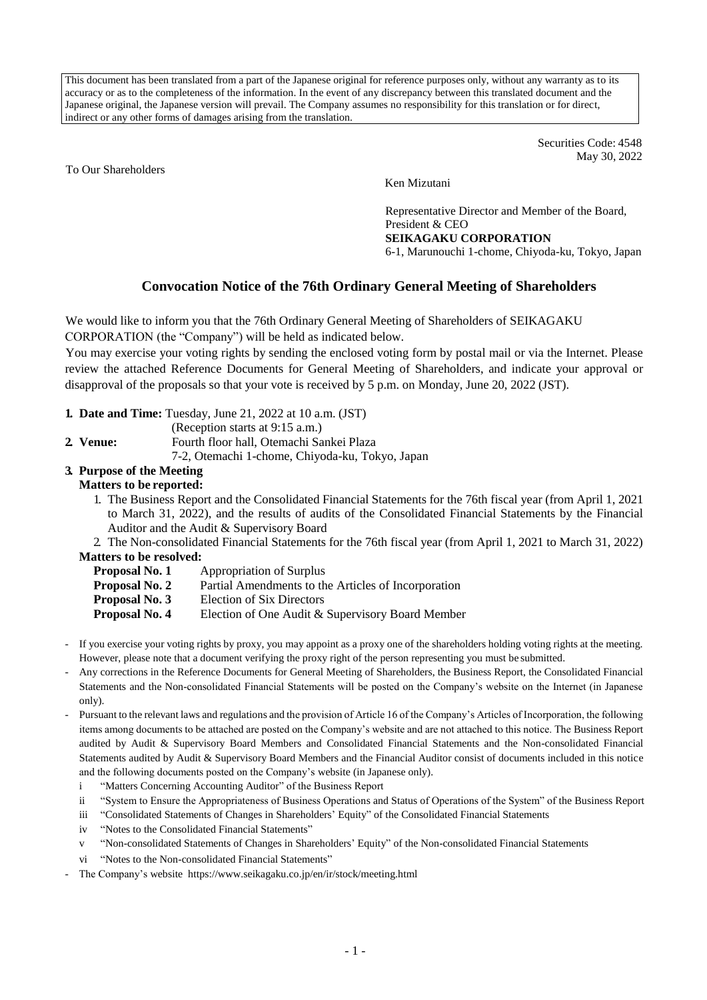This document has been translated from a part of the Japanese original for reference purposes only, without any warranty as to its accuracy or as to the completeness of the information. In the event of any discrepancy between this translated document and the Japanese original, the Japanese version will prevail. The Company assumes no responsibility for this translation or for direct, indirect or any other forms of damages arising from the translation.

> Securities Code: 4548 May 30, 2022

To Our Shareholders

Ken Mizutani

Representative Director and Member of the Board, President & CEO **SEIKAGAKU CORPORATION**

6-1, Marunouchi 1-chome, Chiyoda-ku, Tokyo, Japan

# **Convocation Notice of the 76th Ordinary General Meeting of Shareholders**

We would like to inform you that the 76th Ordinary General Meeting of Shareholders of SEIKAGAKU CORPORATION (the "Company") will be held as indicated below.

You may exercise your voting rights by sending the enclosed voting form by postal mail or via the Internet. Please review the attached Reference Documents for General Meeting of Shareholders, and indicate your approval or disapproval of the proposals so that your vote is received by 5 p.m. on Monday, June 20, 2022 (JST).

- **1. Date and Time:** Tuesday, June 21, 2022 at 10 a.m. (JST)
	- (Reception starts at 9:15 a.m.)
- **2. Venue:** Fourth floor hall, Otemachi Sankei Plaza
	- 7-2, Otemachi 1-chome, Chiyoda-ku, Tokyo, Japan

## **3. Purpose of the Meeting**

#### **Matters to be reported:**

- 1. The Business Report and the Consolidated Financial Statements for the 76th fiscal year (from April 1, 2021 to March 31, 2022), and the results of audits of the Consolidated Financial Statements by the Financial Auditor and the Audit & Supervisory Board
- 2. The Non-consolidated Financial Statements for the 76th fiscal year (from April 1, 2021 to March 31, 2022)

#### **Matters to be resolved:**

- **Proposal No. 1** Appropriation of Surplus
- **Proposal No. 2** Partial Amendments to the Articles of Incorporation
- **Proposal No. 3** Election of Six Directors
- **Proposal No. 4** Election of One Audit & Supervisory Board Member
- If you exercise your voting rights by proxy, you may appoint as a proxy one of the shareholders holding voting rights at the meeting. However, please note that a document verifying the proxy right of the person representing you must be submitted.
- Any corrections in the Reference Documents for General Meeting of Shareholders, the Business Report, the Consolidated Financial Statements and the Non-consolidated Financial Statements will be posted on the Company's website on the Internet (in Japanese only).
- Pursuant to the relevant laws and regulations and the provision of Article 16 of the Company's Articles of Incorporation, the following items among documents to be attached are posted on the Company's website and are not attached to this notice. The Business Report audited by Audit & Supervisory Board Members and Consolidated Financial Statements and the Non-consolidated Financial Statements audited by Audit & Supervisory Board Members and the Financial Auditor consist of documents included in this notice and the following documents posted on the Company's website (in Japanese only).
	- i "Matters Concerning Accounting Auditor" of the Business Report
	- ii "System to Ensure the Appropriateness of Business Operations and Status of Operations of the System" of the Business Report
	- iii "Consolidated Statements of Changes in Shareholders' Equity" of the Consolidated Financial Statements
	- iv "Notes to the Consolidated Financial Statements"
	- v "Non-consolidated Statements of Changes in Shareholders' Equity" of the Non-consolidated Financial Statements
	- vi "Notes to the Non-consolidated Financial Statements"
- The Company's website https://www.seikagaku.co.jp/en/ir/stock/meeting.html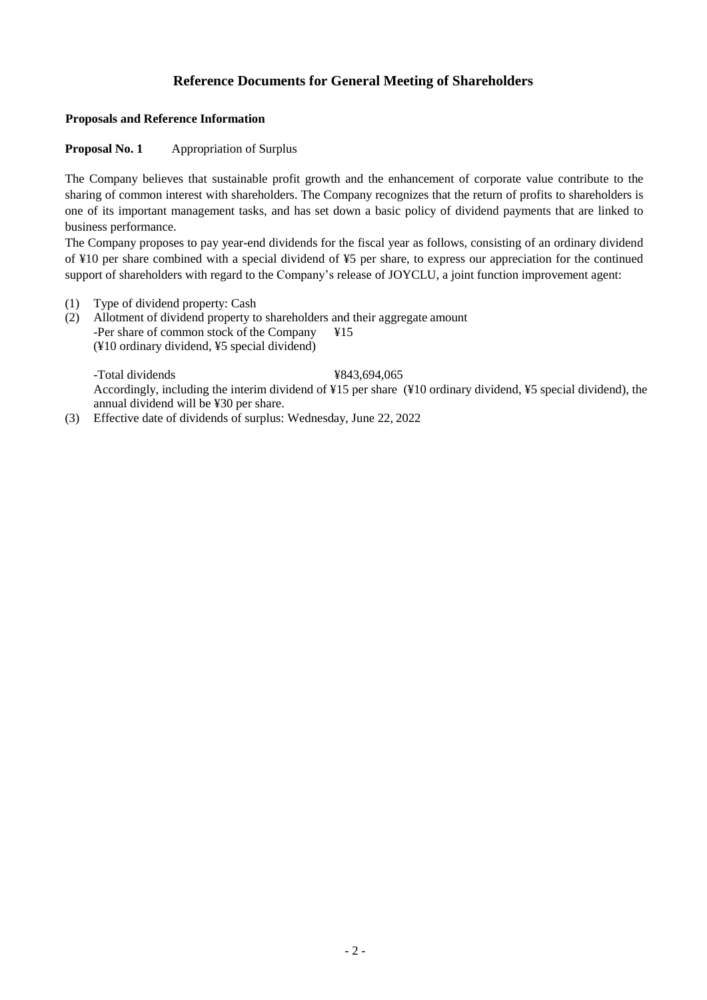# **Reference Documents for General Meeting of Shareholders**

#### **Proposals and Reference Information**

#### **Proposal No. 1** Appropriation of Surplus

The Company believes that sustainable profit growth and the enhancement of corporate value contribute to the sharing of common interest with shareholders. The Company recognizes that the return of profits to shareholders is one of its important management tasks, and has set down a basic policy of dividend payments that are linked to business performance.

The Company proposes to pay year-end dividends for the fiscal year as follows, consisting of an ordinary dividend of ¥10 per share combined with a special dividend of ¥5 per share, to express our appreciation for the continued support of shareholders with regard to the Company's release of JOYCLU, a joint function improvement agent:

- (1) Type of dividend property: Cash
- (2) Allotment of dividend property to shareholders and their aggregate amount -Per share of common stock of the Company  $\angle$  ¥15 (¥10 ordinary dividend, ¥5 special dividend)

-Total dividends ¥843,694,065 Accordingly, including the interim dividend of ¥15 per share (¥10 ordinary dividend, ¥5 special dividend), the annual dividend will be ¥30 per share.

(3) Effective date of dividends of surplus: Wednesday, June 22, 2022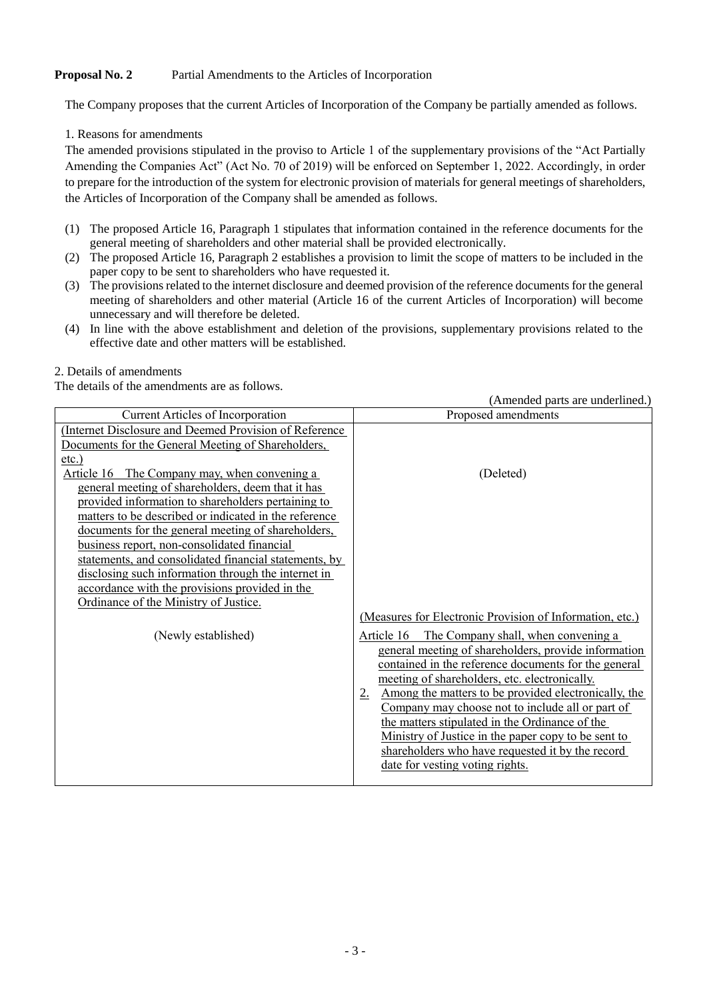## **Proposal No. 2** Partial Amendments to the Articles of Incorporation

The Company proposes that the current Articles of Incorporation of the Company be partially amended as follows.

1. Reasons for amendments

The amended provisions stipulated in the proviso to Article 1 of the supplementary provisions of the "Act Partially Amending the Companies Act" (Act No. 70 of 2019) will be enforced on September 1, 2022. Accordingly, in order to prepare for the introduction of the system for electronic provision of materials for general meetings of shareholders, the Articles of Incorporation of the Company shall be amended as follows.

- (1) The proposed Article 16, Paragraph 1 stipulates that information contained in the reference documents for the general meeting of shareholders and other material shall be provided electronically.
- (2) The proposed Article 16, Paragraph 2 establishes a provision to limit the scope of matters to be included in the paper copy to be sent to shareholders who have requested it.
- (3) The provisions related to the internet disclosure and deemed provision of the reference documents for the general meeting of shareholders and other material (Article 16 of the current Articles of Incorporation) will become unnecessary and will therefore be deleted.
- (4) In line with the above establishment and deletion of the provisions, supplementary provisions related to the effective date and other matters will be established.

2. Details of amendments

The details of the amendments are as follows.

Current Articles of Incorporation **Proposed amendments** (Internet Disclosure and Deemed Provision of Reference Documents for the General Meeting of Shareholders, etc.) Article 16 The Company may, when convening a general meeting of shareholders, deem that it has provided information to shareholders pertaining to matters to be described or indicated in the reference documents for the general meeting of shareholders, business report, non-consolidated financial statements, and consolidated financial statements, by disclosing such information through the internet in accordance with the provisions provided in the Ordinance of the Ministry of Justice. (Deleted) (Measures for Electronic Provision of Information, etc.) (Newly established) Article 16 The Company shall, when convening a general meeting of shareholders, provide information contained in the reference documents for the general meeting of shareholders, etc. electronically. 2. Among the matters to be provided electronically, the Company may choose not to include all or part of the matters stipulated in the Ordinance of the Ministry of Justice in the paper copy to be sent to shareholders who have requested it by the record date for vesting voting rights.

(Amended parts are underlined.)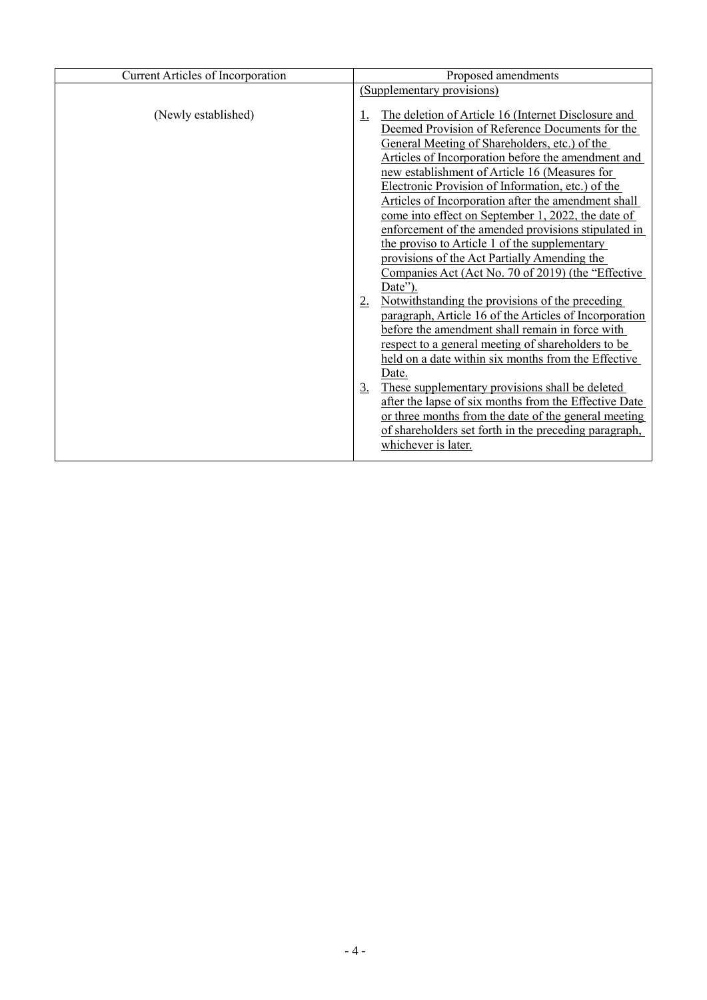| <b>Current Articles of Incorporation</b> | Proposed amendments                                                                                                                                                                                                                                                                                                                                                                                                                                                                                                                                                                                                                                                                                                                                                                                                                                                                                                                                                                                                                                                                                                                                                                                              |
|------------------------------------------|------------------------------------------------------------------------------------------------------------------------------------------------------------------------------------------------------------------------------------------------------------------------------------------------------------------------------------------------------------------------------------------------------------------------------------------------------------------------------------------------------------------------------------------------------------------------------------------------------------------------------------------------------------------------------------------------------------------------------------------------------------------------------------------------------------------------------------------------------------------------------------------------------------------------------------------------------------------------------------------------------------------------------------------------------------------------------------------------------------------------------------------------------------------------------------------------------------------|
|                                          | (Supplementary provisions)                                                                                                                                                                                                                                                                                                                                                                                                                                                                                                                                                                                                                                                                                                                                                                                                                                                                                                                                                                                                                                                                                                                                                                                       |
| (Newly established)                      | The deletion of Article 16 (Internet Disclosure and<br>Deemed Provision of Reference Documents for the<br>General Meeting of Shareholders, etc.) of the<br>Articles of Incorporation before the amendment and<br>new establishment of Article 16 (Measures for<br>Electronic Provision of Information, etc.) of the<br>Articles of Incorporation after the amendment shall<br>come into effect on September 1, 2022, the date of<br>enforcement of the amended provisions stipulated in<br>the proviso to Article 1 of the supplementary<br>provisions of the Act Partially Amending the<br>Companies Act (Act No. 70 of 2019) (the "Effective"<br>Date").<br>Notwithstanding the provisions of the preceding<br>2.<br>paragraph, Article 16 of the Articles of Incorporation<br>before the amendment shall remain in force with<br>respect to a general meeting of shareholders to be<br>held on a date within six months from the Effective<br>Date.<br>These supplementary provisions shall be deleted<br>3.<br>after the lapse of six months from the Effective Date<br>or three months from the date of the general meeting<br>of shareholders set forth in the preceding paragraph,<br>whichever is later. |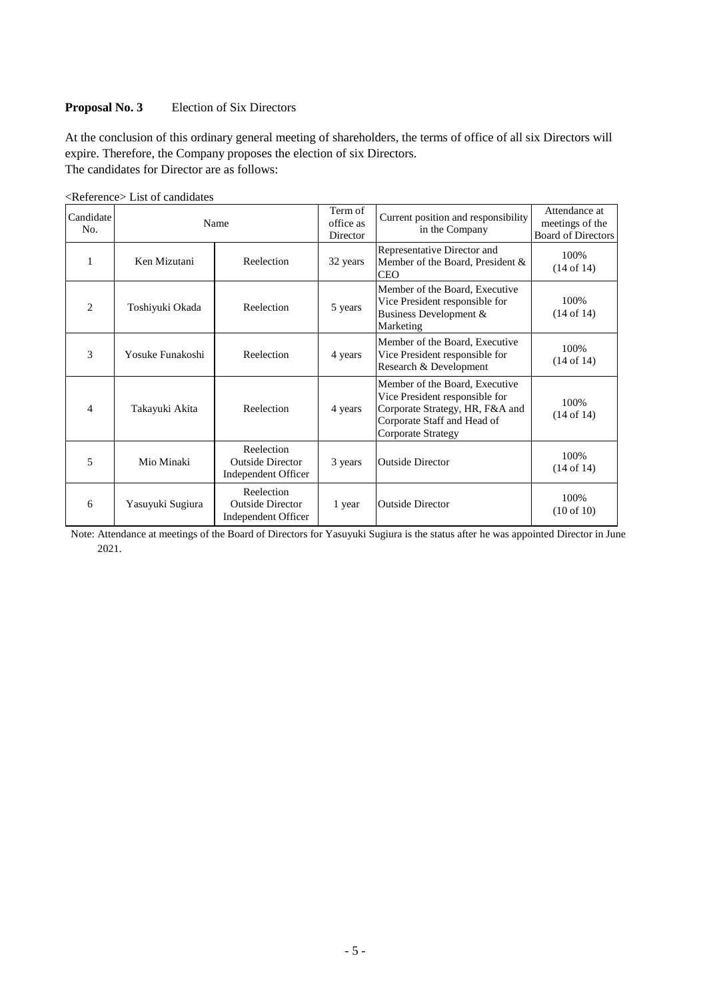#### **Proposal No. 3** Election of Six Directors

At the conclusion of this ordinary general meeting of shareholders, the terms of office of all six Directors will expire. Therefore, the Company proposes the election of six Directors. The candidates for Director are as follows:

| <reference> List of candidates</reference> |
|--------------------------------------------|
|--------------------------------------------|

| Candidate<br>No. | Name                       |                                                              | Term of<br>office as<br>Director | Current position and responsibility<br>in the Company                                                                                                    | Attendance at<br>meetings of the<br><b>Board of Directors</b> |
|------------------|----------------------------|--------------------------------------------------------------|----------------------------------|----------------------------------------------------------------------------------------------------------------------------------------------------------|---------------------------------------------------------------|
| 1                | Ken Mizutani<br>Reelection |                                                              | 32 years                         | Representative Director and<br>Member of the Board, President &<br><b>CEO</b>                                                                            | 100%<br>$(14$ of $14)$                                        |
| $\overline{c}$   | Toshiyuki Okada            | Reelection                                                   | 5 years                          | Member of the Board, Executive<br>Vice President responsible for<br>Business Development &<br>Marketing                                                  | 100%<br>(14 of 14)                                            |
| 3                | Yosuke Funakoshi           | Reelection                                                   | 4 years                          | Member of the Board, Executive<br>Vice President responsible for<br>Research & Development                                                               | 100%<br>$(14$ of $14)$                                        |
| 4                | Takayuki Akita             | Reelection                                                   | 4 years                          | Member of the Board, Executive<br>Vice President responsible for<br>Corporate Strategy, HR, F&A and<br>Corporate Staff and Head of<br>Corporate Strategy | 100%<br>(14 of 14)                                            |
| 5                | Mio Minaki                 | Reelection<br><b>Outside Director</b><br>Independent Officer | 3 years                          | <b>Outside Director</b>                                                                                                                                  | 100%<br>$(14 \text{ of } 14)$                                 |
| 6                | Yasuyuki Sugiura           | Reelection<br><b>Outside Director</b><br>Independent Officer | 1 year                           | <b>Outside Director</b>                                                                                                                                  | 100%<br>$(10 \text{ of } 10)$                                 |

Note: Attendance at meetings of the Board of Directors for Yasuyuki Sugiura is the status after he was appointed Director in June 2021.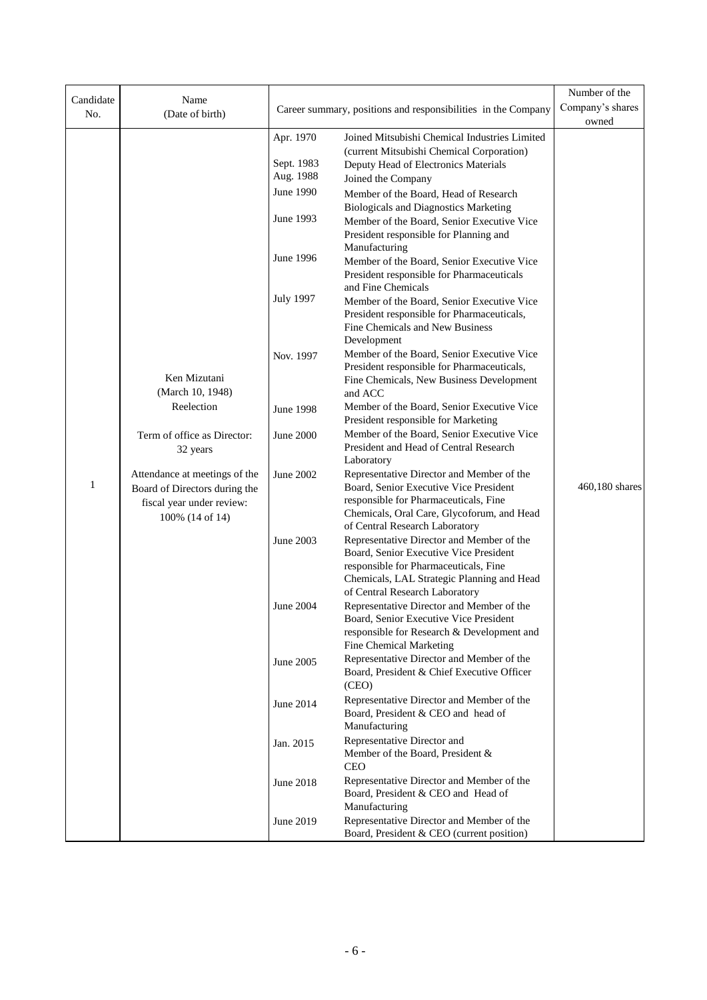| Candidate                               | Name                                                                                                           |                                      | Number of the<br>Company's shares                                                                                                                                                                            |                |
|-----------------------------------------|----------------------------------------------------------------------------------------------------------------|--------------------------------------|--------------------------------------------------------------------------------------------------------------------------------------------------------------------------------------------------------------|----------------|
| No.                                     | (Date of birth)                                                                                                |                                      | Career summary, positions and responsibilities in the Company                                                                                                                                                | owned          |
|                                         |                                                                                                                | Apr. 1970<br>Sept. 1983<br>Aug. 1988 | Joined Mitsubishi Chemical Industries Limited<br>(current Mitsubishi Chemical Corporation)<br>Deputy Head of Electronics Materials<br>Joined the Company                                                     |                |
|                                         |                                                                                                                | June 1990                            | Member of the Board, Head of Research<br><b>Biologicals and Diagnostics Marketing</b>                                                                                                                        |                |
|                                         |                                                                                                                | June 1993                            | Member of the Board, Senior Executive Vice<br>President responsible for Planning and                                                                                                                         |                |
|                                         |                                                                                                                | June 1996                            | Manufacturing<br>Member of the Board, Senior Executive Vice<br>President responsible for Pharmaceuticals<br>and Fine Chemicals                                                                               |                |
|                                         |                                                                                                                | <b>July 1997</b>                     | Member of the Board, Senior Executive Vice<br>President responsible for Pharmaceuticals,<br>Fine Chemicals and New Business                                                                                  |                |
|                                         | Ken Mizutani                                                                                                   | Nov. 1997                            | Development<br>Member of the Board, Senior Executive Vice<br>President responsible for Pharmaceuticals,                                                                                                      |                |
|                                         | (March 10, 1948)                                                                                               |                                      | Fine Chemicals, New Business Development<br>and ACC                                                                                                                                                          |                |
|                                         | Reelection                                                                                                     | <b>June 1998</b>                     | Member of the Board, Senior Executive Vice<br>President responsible for Marketing                                                                                                                            |                |
| Term of office as Director:<br>32 years |                                                                                                                | <b>June 2000</b>                     | Member of the Board, Senior Executive Vice<br>President and Head of Central Research<br>Laboratory                                                                                                           |                |
| 1                                       | Attendance at meetings of the<br>Board of Directors during the<br>fiscal year under review:<br>100% (14 of 14) | <b>June 2002</b>                     | Representative Director and Member of the<br>Board, Senior Executive Vice President<br>responsible for Pharmaceuticals, Fine<br>Chemicals, Oral Care, Glycoforum, and Head<br>of Central Research Laboratory | 460,180 shares |
|                                         |                                                                                                                | <b>June 2003</b>                     | Representative Director and Member of the<br>Board, Senior Executive Vice President<br>responsible for Pharmaceuticals, Fine<br>Chemicals, LAL Strategic Planning and Head<br>of Central Research Laboratory |                |
|                                         |                                                                                                                | June 2004                            | Representative Director and Member of the<br>Board, Senior Executive Vice President<br>responsible for Research & Development and                                                                            |                |
|                                         |                                                                                                                | June 2005                            | Fine Chemical Marketing<br>Representative Director and Member of the<br>Board, President & Chief Executive Officer<br>(CEO)                                                                                  |                |
|                                         |                                                                                                                | June 2014                            | Representative Director and Member of the<br>Board, President & CEO and head of                                                                                                                              |                |
|                                         |                                                                                                                | Jan. 2015                            | Manufacturing<br>Representative Director and<br>Member of the Board, President &<br><b>CEO</b>                                                                                                               |                |
|                                         |                                                                                                                | June 2018                            | Representative Director and Member of the<br>Board, President & CEO and Head of                                                                                                                              |                |
|                                         |                                                                                                                | June 2019                            | Manufacturing<br>Representative Director and Member of the<br>Board, President & CEO (current position)                                                                                                      |                |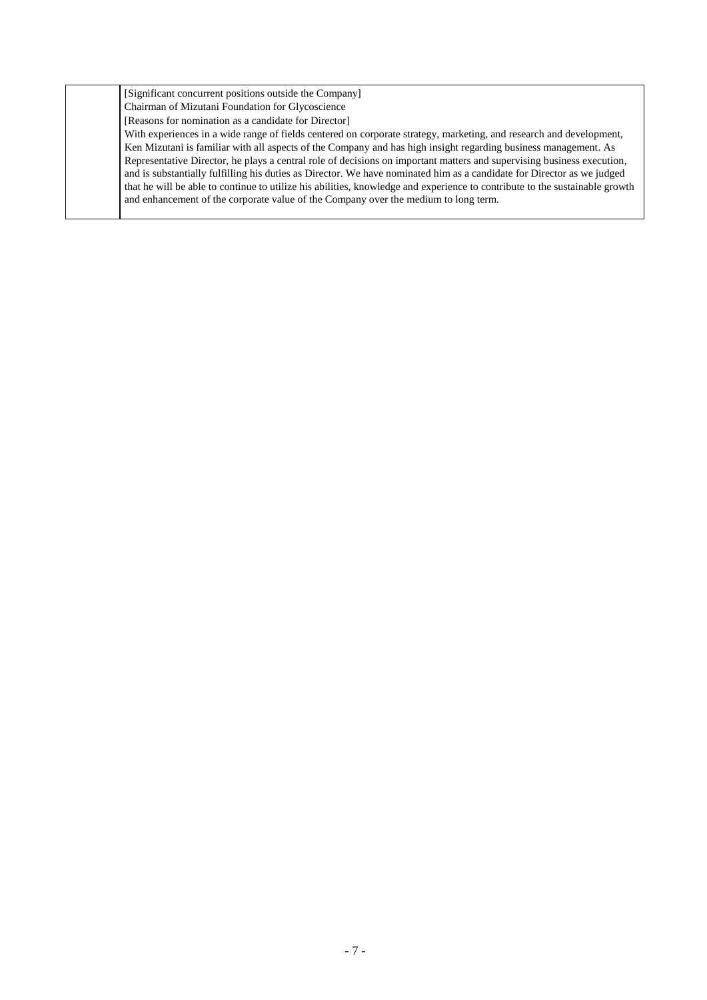| [Significant concurrent positions outside the Company]                                                                      |
|-----------------------------------------------------------------------------------------------------------------------------|
| Chairman of Mizutani Foundation for Glycoscience                                                                            |
| [Reasons for nomination as a candidate for Director]                                                                        |
| With experiences in a wide range of fields centered on corporate strategy, marketing, and research and development,         |
| Ken Mizutani is familiar with all aspects of the Company and has high insight regarding business management. As             |
| Representative Director, he plays a central role of decisions on important matters and supervising business execution,      |
| and is substantially fulfilling his duties as Director. We have nominated him as a candidate for Director as we judged      |
| that he will be able to continue to utilize his abilities, knowledge and experience to contribute to the sustainable growth |
| and enhancement of the corporate value of the Company over the medium to long term.                                         |
|                                                                                                                             |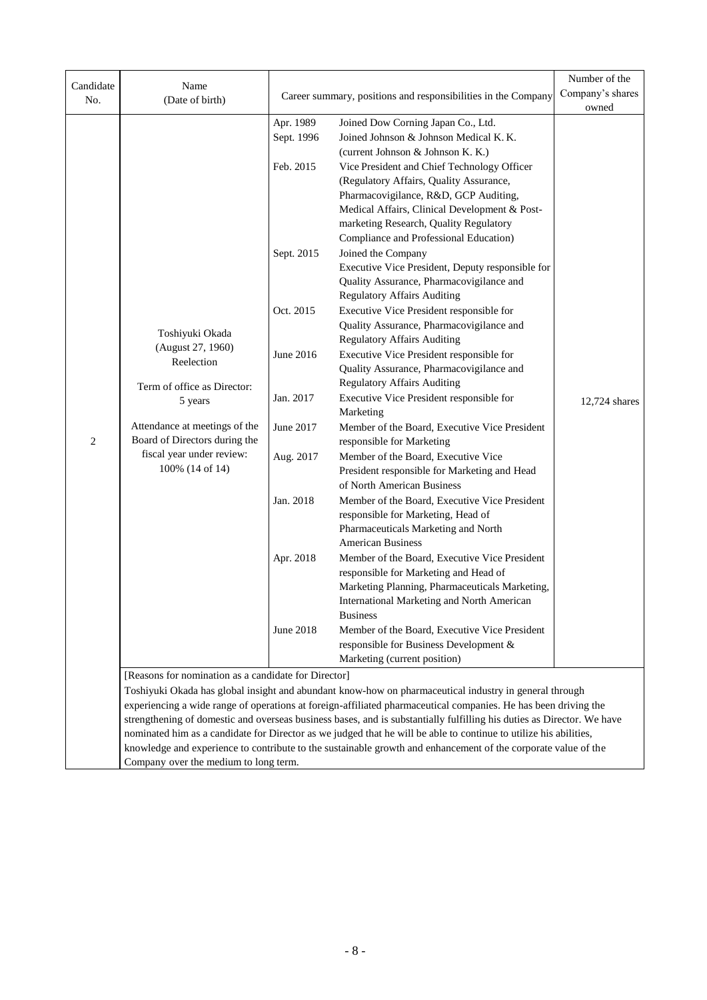| Candidate      | Name                                                                                                                                                                                                                                |            |                                                                                                                                                                                                                           | Number of the |  |  |  |
|----------------|-------------------------------------------------------------------------------------------------------------------------------------------------------------------------------------------------------------------------------------|------------|---------------------------------------------------------------------------------------------------------------------------------------------------------------------------------------------------------------------------|---------------|--|--|--|
| No.            | (Date of birth)                                                                                                                                                                                                                     |            | Company's shares<br>Career summary, positions and responsibilities in the Company                                                                                                                                         |               |  |  |  |
|                |                                                                                                                                                                                                                                     |            |                                                                                                                                                                                                                           | owned         |  |  |  |
|                |                                                                                                                                                                                                                                     | Apr. 1989  | Joined Dow Corning Japan Co., Ltd.                                                                                                                                                                                        |               |  |  |  |
|                |                                                                                                                                                                                                                                     | Sept. 1996 | Joined Johnson & Johnson Medical K. K.                                                                                                                                                                                    |               |  |  |  |
|                |                                                                                                                                                                                                                                     |            | (current Johnson & Johnson K. K.)                                                                                                                                                                                         |               |  |  |  |
|                |                                                                                                                                                                                                                                     | Feb. 2015  | Vice President and Chief Technology Officer                                                                                                                                                                               |               |  |  |  |
|                |                                                                                                                                                                                                                                     |            | (Regulatory Affairs, Quality Assurance,                                                                                                                                                                                   |               |  |  |  |
|                |                                                                                                                                                                                                                                     |            | Pharmacovigilance, R&D, GCP Auditing,<br>Medical Affairs, Clinical Development & Post-                                                                                                                                    |               |  |  |  |
|                |                                                                                                                                                                                                                                     |            | marketing Research, Quality Regulatory                                                                                                                                                                                    |               |  |  |  |
|                |                                                                                                                                                                                                                                     |            | Compliance and Professional Education)                                                                                                                                                                                    |               |  |  |  |
|                |                                                                                                                                                                                                                                     | Sept. 2015 | Joined the Company                                                                                                                                                                                                        |               |  |  |  |
|                |                                                                                                                                                                                                                                     |            | Executive Vice President, Deputy responsible for                                                                                                                                                                          |               |  |  |  |
|                |                                                                                                                                                                                                                                     |            | Quality Assurance, Pharmacovigilance and                                                                                                                                                                                  |               |  |  |  |
|                |                                                                                                                                                                                                                                     |            | <b>Regulatory Affairs Auditing</b>                                                                                                                                                                                        |               |  |  |  |
|                |                                                                                                                                                                                                                                     | Oct. 2015  | Executive Vice President responsible for                                                                                                                                                                                  |               |  |  |  |
|                | Toshiyuki Okada                                                                                                                                                                                                                     |            | Quality Assurance, Pharmacovigilance and                                                                                                                                                                                  |               |  |  |  |
|                | (August 27, 1960)                                                                                                                                                                                                                   |            | <b>Regulatory Affairs Auditing</b>                                                                                                                                                                                        |               |  |  |  |
|                | Reelection                                                                                                                                                                                                                          | June 2016  | Executive Vice President responsible for                                                                                                                                                                                  |               |  |  |  |
|                |                                                                                                                                                                                                                                     |            | Quality Assurance, Pharmacovigilance and                                                                                                                                                                                  |               |  |  |  |
|                | Term of office as Director:                                                                                                                                                                                                         |            | <b>Regulatory Affairs Auditing</b>                                                                                                                                                                                        |               |  |  |  |
|                | 5 years                                                                                                                                                                                                                             | Jan. 2017  | Executive Vice President responsible for<br>Marketing                                                                                                                                                                     | 12,724 shares |  |  |  |
| $\overline{c}$ | Attendance at meetings of the<br>Board of Directors during the                                                                                                                                                                      | June 2017  | Member of the Board, Executive Vice President<br>responsible for Marketing                                                                                                                                                |               |  |  |  |
|                | fiscal year under review:                                                                                                                                                                                                           | Aug. 2017  | Member of the Board, Executive Vice                                                                                                                                                                                       |               |  |  |  |
|                | 100% (14 of 14)                                                                                                                                                                                                                     |            | President responsible for Marketing and Head                                                                                                                                                                              |               |  |  |  |
|                |                                                                                                                                                                                                                                     |            | of North American Business                                                                                                                                                                                                |               |  |  |  |
|                |                                                                                                                                                                                                                                     | Jan. 2018  | Member of the Board, Executive Vice President                                                                                                                                                                             |               |  |  |  |
|                |                                                                                                                                                                                                                                     |            | responsible for Marketing, Head of<br>Pharmaceuticals Marketing and North                                                                                                                                                 |               |  |  |  |
|                |                                                                                                                                                                                                                                     |            | <b>American Business</b>                                                                                                                                                                                                  |               |  |  |  |
|                |                                                                                                                                                                                                                                     | Apr. 2018  | Member of the Board, Executive Vice President                                                                                                                                                                             |               |  |  |  |
|                |                                                                                                                                                                                                                                     |            | responsible for Marketing and Head of                                                                                                                                                                                     |               |  |  |  |
|                |                                                                                                                                                                                                                                     |            | Marketing Planning, Pharmaceuticals Marketing,                                                                                                                                                                            |               |  |  |  |
|                |                                                                                                                                                                                                                                     |            | International Marketing and North American                                                                                                                                                                                |               |  |  |  |
|                |                                                                                                                                                                                                                                     |            | <b>Business</b>                                                                                                                                                                                                           |               |  |  |  |
|                |                                                                                                                                                                                                                                     | June 2018  | Member of the Board, Executive Vice President                                                                                                                                                                             |               |  |  |  |
|                |                                                                                                                                                                                                                                     |            | responsible for Business Development &                                                                                                                                                                                    |               |  |  |  |
|                |                                                                                                                                                                                                                                     |            | Marketing (current position)                                                                                                                                                                                              |               |  |  |  |
|                | [Reasons for nomination as a candidate for Director]                                                                                                                                                                                |            |                                                                                                                                                                                                                           |               |  |  |  |
|                |                                                                                                                                                                                                                                     |            | Toshiyuki Okada has global insight and abundant know-how on pharmaceutical industry in general through<br>experiencing a wide range of operations at foreign-affiliated pharmaceutical companies. He has been driving the |               |  |  |  |
|                |                                                                                                                                                                                                                                     |            | strengthening of domestic and overseas business bases, and is substantially fulfilling his duties as Director. We have                                                                                                    |               |  |  |  |
|                |                                                                                                                                                                                                                                     |            |                                                                                                                                                                                                                           |               |  |  |  |
|                | nominated him as a candidate for Director as we judged that he will be able to continue to utilize his abilities,<br>knowledge and experience to contribute to the sustainable growth and enhancement of the corporate value of the |            |                                                                                                                                                                                                                           |               |  |  |  |

Company over the medium to long term.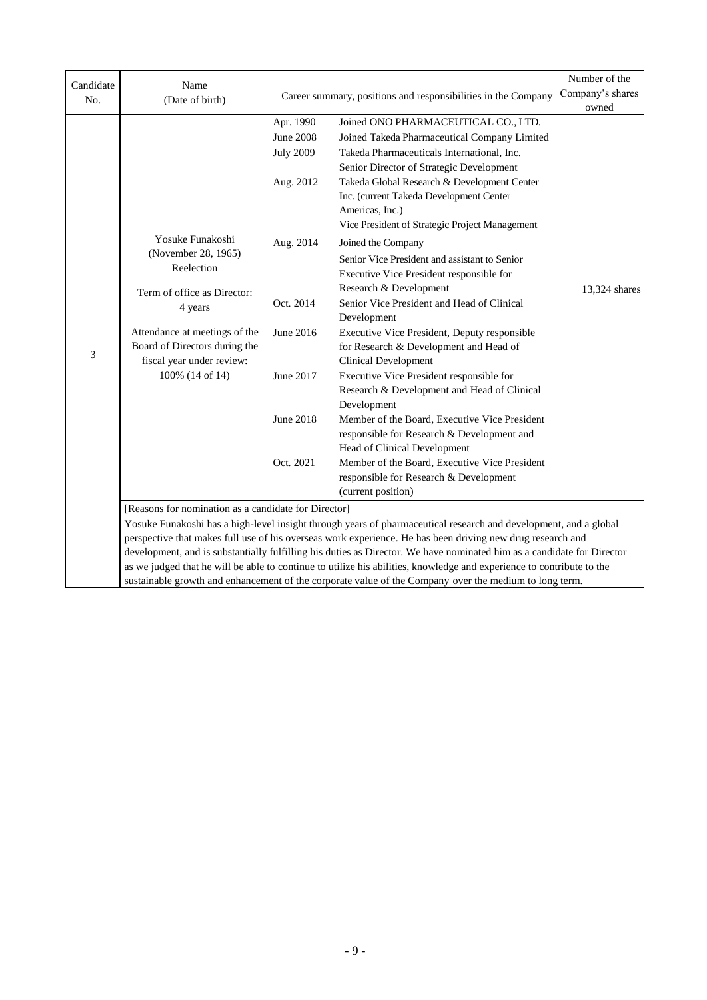| Candidate | Name                                                                                                                                                                                                              |                                                                                                                                                     |                                                                                                                                                                                                                                                                                                                                                                                                                                                                                                                                                                                                                                                                                                                                                                                                                                                                                                                                                                           | Number of the<br>Company's shares |  |  |
|-----------|-------------------------------------------------------------------------------------------------------------------------------------------------------------------------------------------------------------------|-----------------------------------------------------------------------------------------------------------------------------------------------------|---------------------------------------------------------------------------------------------------------------------------------------------------------------------------------------------------------------------------------------------------------------------------------------------------------------------------------------------------------------------------------------------------------------------------------------------------------------------------------------------------------------------------------------------------------------------------------------------------------------------------------------------------------------------------------------------------------------------------------------------------------------------------------------------------------------------------------------------------------------------------------------------------------------------------------------------------------------------------|-----------------------------------|--|--|
| No.       | (Date of birth)                                                                                                                                                                                                   |                                                                                                                                                     | Career summary, positions and responsibilities in the Company                                                                                                                                                                                                                                                                                                                                                                                                                                                                                                                                                                                                                                                                                                                                                                                                                                                                                                             |                                   |  |  |
| 3         | Yosuke Funakoshi<br>(November 28, 1965)<br>Reelection<br>Term of office as Director:<br>4 years<br>Attendance at meetings of the<br>Board of Directors during the<br>fiscal year under review:<br>100% (14 of 14) | Apr. 1990<br><b>June 2008</b><br><b>July 2009</b><br>Aug. 2012<br>Aug. 2014<br>Oct. 2014<br>June 2016<br>June 2017<br><b>June 2018</b><br>Oct. 2021 | Joined ONO PHARMACEUTICAL CO., LTD.<br>Joined Takeda Pharmaceutical Company Limited<br>Takeda Pharmaceuticals International, Inc.<br>Senior Director of Strategic Development<br>Takeda Global Research & Development Center<br>Inc. (current Takeda Development Center<br>Americas, Inc.)<br>Vice President of Strategic Project Management<br>Joined the Company<br>Senior Vice President and assistant to Senior<br>Executive Vice President responsible for<br>Research & Development<br>Senior Vice President and Head of Clinical<br>Development<br>Executive Vice President, Deputy responsible<br>for Research & Development and Head of<br><b>Clinical Development</b><br>Executive Vice President responsible for<br>Research & Development and Head of Clinical<br>Development<br>Member of the Board, Executive Vice President<br>responsible for Research & Development and<br>Head of Clinical Development<br>Member of the Board, Executive Vice President | owned<br>13,324 shares            |  |  |
|           |                                                                                                                                                                                                                   |                                                                                                                                                     | responsible for Research & Development<br>(current position)                                                                                                                                                                                                                                                                                                                                                                                                                                                                                                                                                                                                                                                                                                                                                                                                                                                                                                              |                                   |  |  |
|           | [Reasons for nomination as a candidate for Director]                                                                                                                                                              |                                                                                                                                                     |                                                                                                                                                                                                                                                                                                                                                                                                                                                                                                                                                                                                                                                                                                                                                                                                                                                                                                                                                                           |                                   |  |  |
|           |                                                                                                                                                                                                                   |                                                                                                                                                     | Yosuke Funakoshi has a high-level insight through years of pharmaceutical research and development, and a global                                                                                                                                                                                                                                                                                                                                                                                                                                                                                                                                                                                                                                                                                                                                                                                                                                                          |                                   |  |  |
|           |                                                                                                                                                                                                                   |                                                                                                                                                     | perspective that makes full use of his overseas work experience. He has been driving new drug research and                                                                                                                                                                                                                                                                                                                                                                                                                                                                                                                                                                                                                                                                                                                                                                                                                                                                |                                   |  |  |
|           |                                                                                                                                                                                                                   |                                                                                                                                                     | development, and is substantially fulfilling his duties as Director. We have nominated him as a candidate for Director                                                                                                                                                                                                                                                                                                                                                                                                                                                                                                                                                                                                                                                                                                                                                                                                                                                    |                                   |  |  |
|           |                                                                                                                                                                                                                   |                                                                                                                                                     | as we judged that he will be able to continue to utilize his abilities, knowledge and experience to contribute to the<br>sustainable growth and enhancement of the corporate value of the Company over the medium to long term.                                                                                                                                                                                                                                                                                                                                                                                                                                                                                                                                                                                                                                                                                                                                           |                                   |  |  |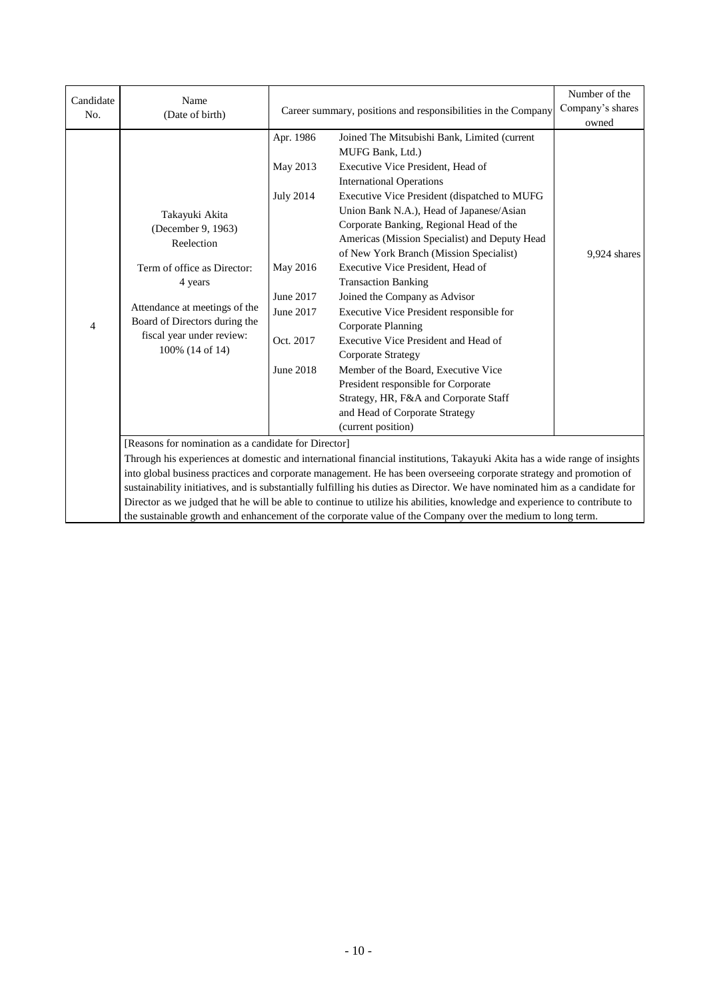| Candidate | Name                                                                              |                  |                                                                                                                              | Number of the<br>Company's shares |  |  |  |
|-----------|-----------------------------------------------------------------------------------|------------------|------------------------------------------------------------------------------------------------------------------------------|-----------------------------------|--|--|--|
| No.       | (Date of birth)                                                                   |                  | Career summary, positions and responsibilities in the Company                                                                |                                   |  |  |  |
|           |                                                                                   |                  |                                                                                                                              |                                   |  |  |  |
|           |                                                                                   | Apr. 1986        | Joined The Mitsubishi Bank, Limited (current<br>MUFG Bank, Ltd.)                                                             |                                   |  |  |  |
|           |                                                                                   | May 2013         | Executive Vice President, Head of                                                                                            |                                   |  |  |  |
|           | Takayuki Akita<br>(December 9, 1963)<br>Reelection<br>Term of office as Director: |                  | <b>International Operations</b>                                                                                              |                                   |  |  |  |
|           |                                                                                   | <b>July 2014</b> | Executive Vice President (dispatched to MUFG                                                                                 |                                   |  |  |  |
|           |                                                                                   |                  | Union Bank N.A.), Head of Japanese/Asian                                                                                     |                                   |  |  |  |
|           |                                                                                   |                  | Corporate Banking, Regional Head of the                                                                                      |                                   |  |  |  |
|           |                                                                                   |                  | Americas (Mission Specialist) and Deputy Head                                                                                |                                   |  |  |  |
|           |                                                                                   |                  | of New York Branch (Mission Specialist)                                                                                      | 9,924 shares                      |  |  |  |
|           |                                                                                   | May 2016         | Executive Vice President, Head of                                                                                            |                                   |  |  |  |
|           | 4 years                                                                           |                  | <b>Transaction Banking</b>                                                                                                   |                                   |  |  |  |
|           | Attendance at meetings of the<br>Board of Directors during the<br>$\overline{4}$  | June 2017        | Joined the Company as Advisor                                                                                                |                                   |  |  |  |
|           |                                                                                   | June 2017        | Executive Vice President responsible for                                                                                     |                                   |  |  |  |
|           |                                                                                   |                  | Corporate Planning                                                                                                           |                                   |  |  |  |
|           | fiscal year under review:<br>100% (14 of 14)                                      | Oct. 2017        | Executive Vice President and Head of                                                                                         |                                   |  |  |  |
|           |                                                                                   |                  | Corporate Strategy                                                                                                           |                                   |  |  |  |
|           |                                                                                   | June 2018        | Member of the Board, Executive Vice                                                                                          |                                   |  |  |  |
|           |                                                                                   |                  | President responsible for Corporate                                                                                          |                                   |  |  |  |
|           |                                                                                   |                  | Strategy, HR, F&A and Corporate Staff                                                                                        |                                   |  |  |  |
|           |                                                                                   |                  | and Head of Corporate Strategy                                                                                               |                                   |  |  |  |
|           |                                                                                   |                  | (current position)                                                                                                           |                                   |  |  |  |
|           | [Reasons for nomination as a candidate for Director]                              |                  |                                                                                                                              |                                   |  |  |  |
|           |                                                                                   |                  | Through his experiences at domestic and international financial institutions, Takayuki Akita has a wide range of insights    |                                   |  |  |  |
|           |                                                                                   |                  | into global business practices and corporate management. He has been overseeing corporate strategy and promotion of          |                                   |  |  |  |
|           |                                                                                   |                  | sustainability initiatives, and is substantially fulfilling his duties as Director. We have nominated him as a candidate for |                                   |  |  |  |
|           |                                                                                   |                  | Director as we judged that he will be able to continue to utilize his abilities, knowledge and experience to contribute to   |                                   |  |  |  |
|           |                                                                                   |                  | the sustainable growth and enhancement of the corporate value of the Company over the medium to long term.                   |                                   |  |  |  |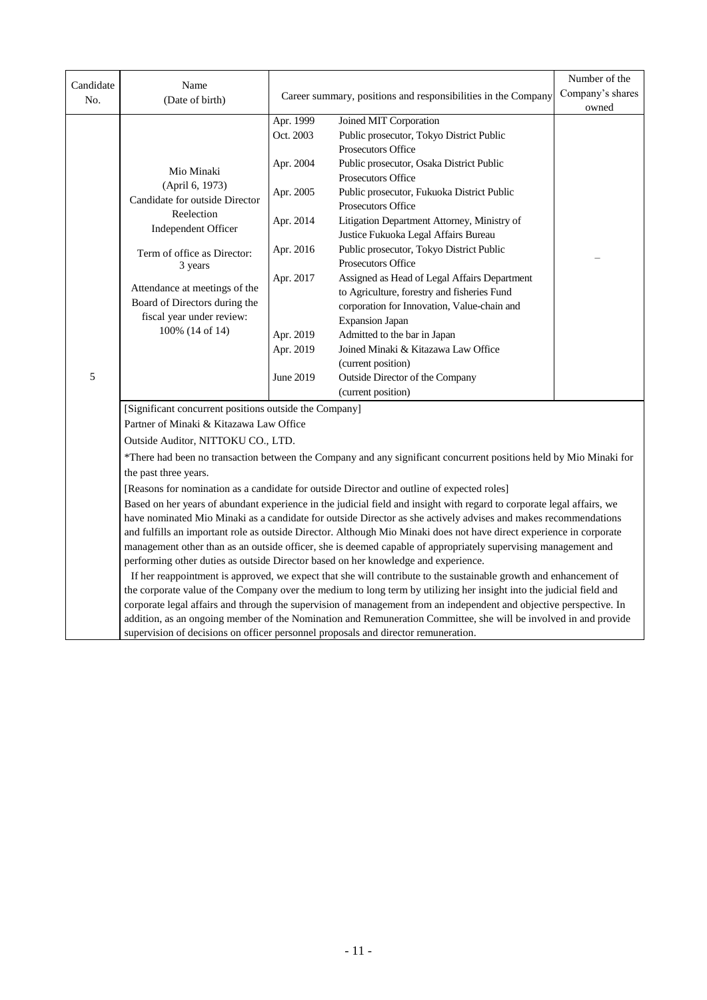|                  |                                                                                                                   |           |                                                                                                                        | Number of the    |  |  |  |
|------------------|-------------------------------------------------------------------------------------------------------------------|-----------|------------------------------------------------------------------------------------------------------------------------|------------------|--|--|--|
| Candidate<br>No. | Name<br>(Date of birth)                                                                                           |           | Career summary, positions and responsibilities in the Company                                                          | Company's shares |  |  |  |
|                  |                                                                                                                   |           |                                                                                                                        |                  |  |  |  |
|                  |                                                                                                                   | Apr. 1999 | Joined MIT Corporation                                                                                                 |                  |  |  |  |
|                  |                                                                                                                   | Oct. 2003 | Public prosecutor, Tokyo District Public                                                                               |                  |  |  |  |
|                  |                                                                                                                   |           | <b>Prosecutors Office</b>                                                                                              |                  |  |  |  |
|                  | Apr. 2004<br>Mio Minaki                                                                                           |           | Public prosecutor, Osaka District Public                                                                               |                  |  |  |  |
|                  | (April 6, 1973)                                                                                                   |           | <b>Prosecutors Office</b>                                                                                              |                  |  |  |  |
|                  | Candidate for outside Director                                                                                    | Apr. 2005 | Public prosecutor, Fukuoka District Public                                                                             |                  |  |  |  |
|                  | Reelection                                                                                                        |           | Prosecutors Office                                                                                                     |                  |  |  |  |
|                  | Independent Officer                                                                                               | Apr. 2014 | Litigation Department Attorney, Ministry of                                                                            |                  |  |  |  |
|                  |                                                                                                                   |           | Justice Fukuoka Legal Affairs Bureau                                                                                   |                  |  |  |  |
|                  | Term of office as Director:                                                                                       | Apr. 2016 | Public prosecutor, Tokyo District Public                                                                               |                  |  |  |  |
|                  | 3 years                                                                                                           |           | Prosecutors Office                                                                                                     |                  |  |  |  |
|                  |                                                                                                                   | Apr. 2017 | Assigned as Head of Legal Affairs Department                                                                           |                  |  |  |  |
|                  | Attendance at meetings of the<br>Board of Directors during the                                                    |           | to Agriculture, forestry and fisheries Fund                                                                            |                  |  |  |  |
|                  | fiscal year under review:                                                                                         |           | corporation for Innovation, Value-chain and                                                                            |                  |  |  |  |
|                  | 100% (14 of 14)                                                                                                   |           | <b>Expansion Japan</b>                                                                                                 |                  |  |  |  |
|                  |                                                                                                                   | Apr. 2019 | Admitted to the bar in Japan                                                                                           |                  |  |  |  |
|                  |                                                                                                                   | Apr. 2019 | Joined Minaki & Kitazawa Law Office                                                                                    |                  |  |  |  |
|                  |                                                                                                                   |           | (current position)                                                                                                     |                  |  |  |  |
| 5                |                                                                                                                   | June 2019 | Outside Director of the Company                                                                                        |                  |  |  |  |
|                  |                                                                                                                   |           | (current position)                                                                                                     |                  |  |  |  |
|                  | [Significant concurrent positions outside the Company]                                                            |           |                                                                                                                        |                  |  |  |  |
|                  | Partner of Minaki & Kitazawa Law Office                                                                           |           |                                                                                                                        |                  |  |  |  |
|                  | Outside Auditor, NITTOKU CO., LTD.                                                                                |           |                                                                                                                        |                  |  |  |  |
|                  |                                                                                                                   |           | *There had been no transaction between the Company and any significant concurrent positions held by Mio Minaki for     |                  |  |  |  |
|                  | the past three years.                                                                                             |           |                                                                                                                        |                  |  |  |  |
|                  |                                                                                                                   |           | [Reasons for nomination as a candidate for outside Director and outline of expected roles]                             |                  |  |  |  |
|                  |                                                                                                                   |           | Based on her years of abundant experience in the judicial field and insight with regard to corporate legal affairs, we |                  |  |  |  |
|                  |                                                                                                                   |           | have nominated Mio Minaki as a candidate for outside Director as she actively advises and makes recommendations        |                  |  |  |  |
|                  |                                                                                                                   |           | and fulfills an important role as outside Director. Although Mio Minaki does not have direct experience in corporate   |                  |  |  |  |
|                  | management other than as an outside officer, she is deemed capable of appropriately supervising management and    |           |                                                                                                                        |                  |  |  |  |
|                  |                                                                                                                   |           | performing other duties as outside Director based on her knowledge and experience.                                     |                  |  |  |  |
|                  | If her reappointment is approved, we expect that she will contribute to the sustainable growth and enhancement of |           |                                                                                                                        |                  |  |  |  |
|                  |                                                                                                                   |           | the corporate value of the Company over the medium to long term by utilizing her insight into the judicial field and   |                  |  |  |  |
|                  |                                                                                                                   |           | corporate legal affairs and through the supervision of management from an independent and objective perspective. In    |                  |  |  |  |
|                  |                                                                                                                   |           | addition, as an ongoing member of the Nomination and Remuneration Committee, she will be involved in and provide       |                  |  |  |  |
|                  | supervision of decisions on officer personnel proposals and director remuneration.                                |           |                                                                                                                        |                  |  |  |  |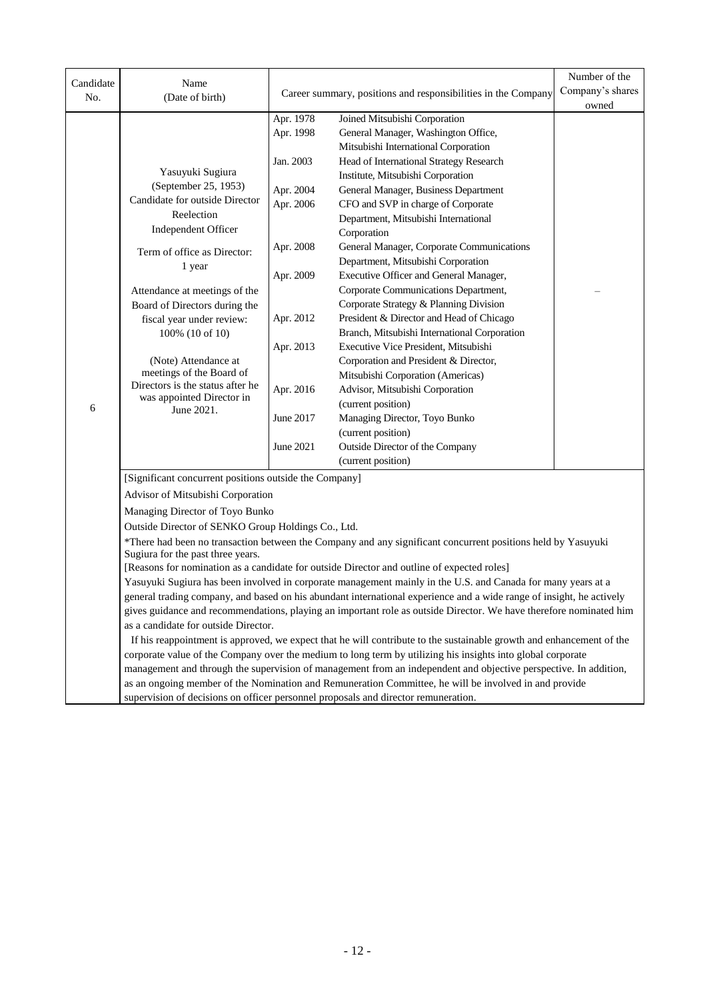|           |                                                                                                              |           |                                                                                                                      | Number of the    |  |  |  |
|-----------|--------------------------------------------------------------------------------------------------------------|-----------|----------------------------------------------------------------------------------------------------------------------|------------------|--|--|--|
| Candidate | Name<br>Career summary, positions and responsibilities in the Company                                        |           |                                                                                                                      | Company's shares |  |  |  |
| No.       | (Date of birth)                                                                                              |           |                                                                                                                      | owned            |  |  |  |
|           |                                                                                                              | Apr. 1978 | Joined Mitsubishi Corporation                                                                                        |                  |  |  |  |
|           |                                                                                                              | Apr. 1998 | General Manager, Washington Office,                                                                                  |                  |  |  |  |
|           |                                                                                                              |           | Mitsubishi International Corporation                                                                                 |                  |  |  |  |
|           |                                                                                                              | Jan. 2003 | Head of International Strategy Research                                                                              |                  |  |  |  |
|           | Yasuyuki Sugiura                                                                                             |           | Institute, Mitsubishi Corporation                                                                                    |                  |  |  |  |
|           | (September 25, 1953)                                                                                         | Apr. 2004 | General Manager, Business Department                                                                                 |                  |  |  |  |
|           | Candidate for outside Director                                                                               | Apr. 2006 | CFO and SVP in charge of Corporate                                                                                   |                  |  |  |  |
|           | Reelection                                                                                                   |           | Department, Mitsubishi International                                                                                 |                  |  |  |  |
|           | Independent Officer                                                                                          |           | Corporation                                                                                                          |                  |  |  |  |
|           | Term of office as Director:                                                                                  | Apr. 2008 | General Manager, Corporate Communications                                                                            |                  |  |  |  |
|           | 1 year                                                                                                       |           | Department, Mitsubishi Corporation                                                                                   |                  |  |  |  |
|           |                                                                                                              | Apr. 2009 | Executive Officer and General Manager,                                                                               |                  |  |  |  |
|           | Attendance at meetings of the                                                                                |           | Corporate Communications Department,                                                                                 |                  |  |  |  |
|           | Board of Directors during the                                                                                |           | Corporate Strategy & Planning Division                                                                               |                  |  |  |  |
|           | fiscal year under review:                                                                                    | Apr. 2012 | President & Director and Head of Chicago                                                                             |                  |  |  |  |
|           | 100% (10 of 10)                                                                                              |           | Branch, Mitsubishi International Corporation                                                                         |                  |  |  |  |
|           |                                                                                                              | Apr. 2013 | Executive Vice President, Mitsubishi                                                                                 |                  |  |  |  |
|           | (Note) Attendance at                                                                                         |           | Corporation and President & Director,                                                                                |                  |  |  |  |
|           | meetings of the Board of<br>Directors is the status after he<br>was appointed Director in                    |           | Mitsubishi Corporation (Americas)                                                                                    |                  |  |  |  |
|           |                                                                                                              | Apr. 2016 | Advisor, Mitsubishi Corporation                                                                                      |                  |  |  |  |
| 6         | June 2021.                                                                                                   |           | (current position)                                                                                                   |                  |  |  |  |
|           |                                                                                                              | June 2017 | Managing Director, Toyo Bunko                                                                                        |                  |  |  |  |
|           |                                                                                                              |           | (current position)                                                                                                   |                  |  |  |  |
|           |                                                                                                              | June 2021 | Outside Director of the Company                                                                                      |                  |  |  |  |
|           |                                                                                                              |           | (current position)                                                                                                   |                  |  |  |  |
|           | [Significant concurrent positions outside the Company]                                                       |           |                                                                                                                      |                  |  |  |  |
|           | Advisor of Mitsubishi Corporation                                                                            |           |                                                                                                                      |                  |  |  |  |
|           | Managing Director of Toyo Bunko                                                                              |           |                                                                                                                      |                  |  |  |  |
|           | Outside Director of SENKO Group Holdings Co., Ltd.                                                           |           |                                                                                                                      |                  |  |  |  |
|           | *There had been no transaction between the Company and any significant concurrent positions held by Yasuyuki |           |                                                                                                                      |                  |  |  |  |
|           | Sugiura for the past three years.                                                                            |           |                                                                                                                      |                  |  |  |  |
|           |                                                                                                              |           | [Reasons for nomination as a candidate for outside Director and outline of expected roles]                           |                  |  |  |  |
|           |                                                                                                              |           | Yasuyuki Sugiura has been involved in corporate management mainly in the U.S. and Canada for many years at a         |                  |  |  |  |
|           |                                                                                                              |           | general trading company, and based on his abundant international experience and a wide range of insight, he actively |                  |  |  |  |
|           |                                                                                                              |           | gives guidance and recommendations, playing an important role as outside Director. We have therefore nominated him   |                  |  |  |  |
|           | as a candidate for outside Director.                                                                         |           |                                                                                                                      |                  |  |  |  |
|           |                                                                                                              |           | If his reappointment is approved, we expect that he will contribute to the sustainable growth and enhancement of the |                  |  |  |  |
|           |                                                                                                              |           | corporate value of the Company over the medium to long term by utilizing his insights into global corporate          |                  |  |  |  |
|           |                                                                                                              |           | management and through the supervision of management from an independent and objective perspective. In addition,     |                  |  |  |  |
|           |                                                                                                              |           | as an ongoing member of the Nomination and Remuneration Committee, he will be involved in and provide                |                  |  |  |  |
|           |                                                                                                              |           | supervision of decisions on officer personnel proposals and director remuneration.                                   |                  |  |  |  |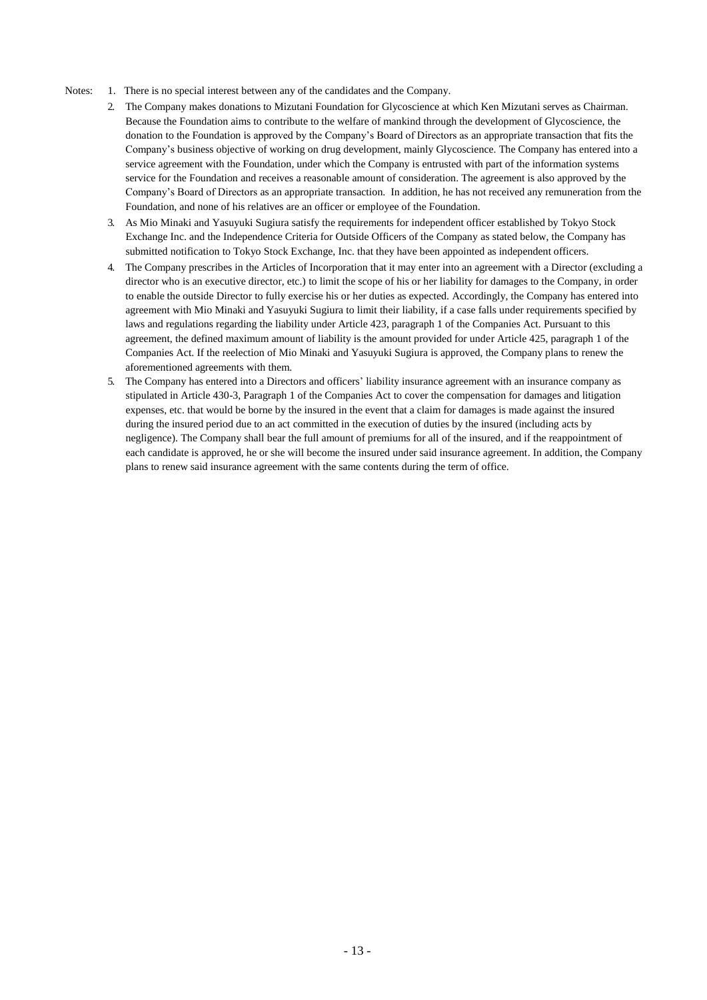- Notes: 1. There is no special interest between any of the candidates and the Company.
	- 2. The Company makes donations to Mizutani Foundation for Glycoscience at which Ken Mizutani serves as Chairman. Because the Foundation aims to contribute to the welfare of mankind through the development of Glycoscience, the donation to the Foundation is approved by the Company's Board of Directors as an appropriate transaction that fits the Company's business objective of working on drug development, mainly Glycoscience. The Company has entered into a service agreement with the Foundation, under which the Company is entrusted with part of the information systems service for the Foundation and receives a reasonable amount of consideration. The agreement is also approved by the Company's Board of Directors as an appropriate transaction. In addition, he has not received any remuneration from the Foundation, and none of his relatives are an officer or employee of the Foundation.
	- 3. As Mio Minaki and Yasuyuki Sugiura satisfy the requirements for independent officer established by Tokyo Stock Exchange Inc. and the Independence Criteria for Outside Officers of the Company as stated below, the Company has submitted notification to Tokyo Stock Exchange, Inc. that they have been appointed as independent officers.
	- 4. The Company prescribes in the Articles of Incorporation that it may enter into an agreement with a Director (excluding a director who is an executive director, etc.) to limit the scope of his or her liability for damages to the Company, in order to enable the outside Director to fully exercise his or her duties as expected. Accordingly, the Company has entered into agreement with Mio Minaki and Yasuyuki Sugiura to limit their liability, if a case falls under requirements specified by laws and regulations regarding the liability under Article 423, paragraph 1 of the Companies Act. Pursuant to this agreement, the defined maximum amount of liability is the amount provided for under Article 425, paragraph 1 of the Companies Act. If the reelection of Mio Minaki and Yasuyuki Sugiura is approved, the Company plans to renew the aforementioned agreements with them.
	- 5. The Company has entered into a Directors and officers' liability insurance agreement with an insurance company as stipulated in Article 430-3, Paragraph 1 of the Companies Act to cover the compensation for damages and litigation expenses, etc. that would be borne by the insured in the event that a claim for damages is made against the insured during the insured period due to an act committed in the execution of duties by the insured (including acts by negligence). The Company shall bear the full amount of premiums for all of the insured, and if the reappointment of each candidate is approved, he or she will become the insured under said insurance agreement. In addition, the Company plans to renew said insurance agreement with the same contents during the term of office.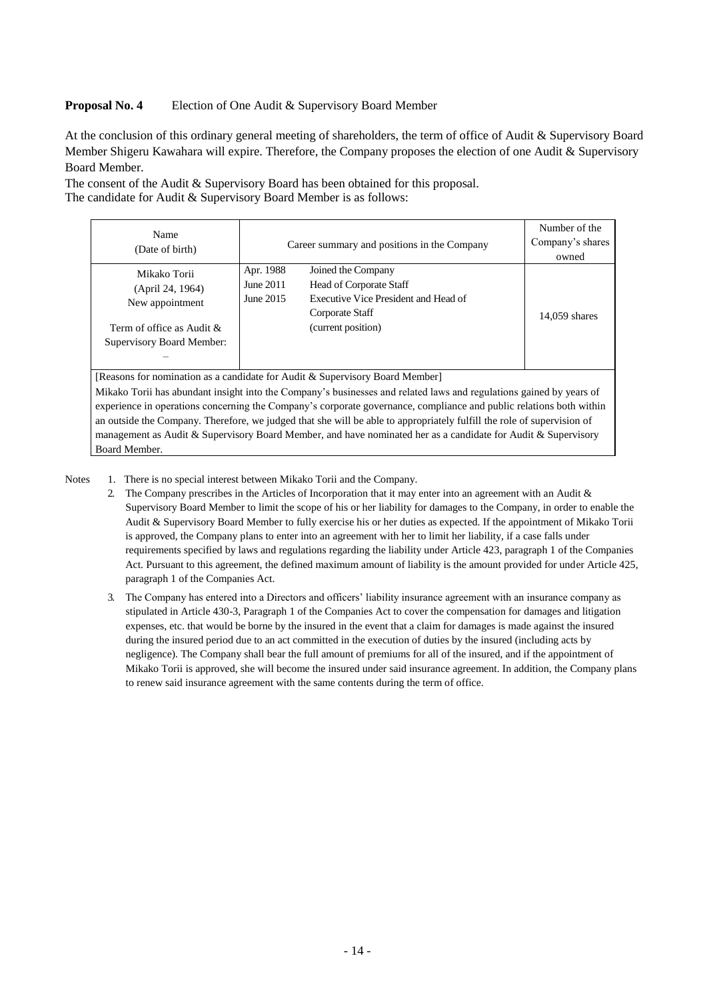#### **Proposal No. 4** Election of One Audit & Supervisory Board Member

At the conclusion of this ordinary general meeting of shareholders, the term of office of Audit & Supervisory Board Member Shigeru Kawahara will expire. Therefore, the Company proposes the election of one Audit & Supervisory Board Member.

The consent of the Audit & Supervisory Board has been obtained for this proposal. The candidate for Audit & Supervisory Board Member is as follows:

| Name<br>(Date of birth)                                                                                       | Career summary and positions in the Company | Number of the<br>Company's shares<br>owned                                                                                            |                 |
|---------------------------------------------------------------------------------------------------------------|---------------------------------------------|---------------------------------------------------------------------------------------------------------------------------------------|-----------------|
| Mikako Torii<br>(April 24, 1964)<br>New appointment<br>Term of office as Audit &<br>Supervisory Board Member: | Apr. 1988<br>June 2011<br>June 2015         | Joined the Company<br><b>Head of Corporate Staff</b><br>Executive Vice President and Head of<br>Corporate Staff<br>(current position) | $14,059$ shares |

[Reasons for nomination as a candidate for Audit & Supervisory Board Member] Mikako Torii has abundant insight into the Company's businesses and related laws and regulations gained by years of experience in operations concerning the Company's corporate governance, compliance and public relations both within an outside the Company. Therefore, we judged that she will be able to appropriately fulfill the role of supervision of management as Audit & Supervisory Board Member, and have nominated her as a candidate for Audit & Supervisory Board Member.

Notes 1. There is no special interest between Mikako Torii and the Company.

- 2. The Company prescribes in the Articles of Incorporation that it may enter into an agreement with an Audit & Supervisory Board Member to limit the scope of his or her liability for damages to the Company, in order to enable the Audit & Supervisory Board Member to fully exercise his or her duties as expected. If the appointment of Mikako Torii is approved, the Company plans to enter into an agreement with her to limit her liability, if a case falls under requirements specified by laws and regulations regarding the liability under Article 423, paragraph 1 of the Companies Act. Pursuant to this agreement, the defined maximum amount of liability is the amount provided for under Article 425, paragraph 1 of the Companies Act.
- 3. The Company has entered into a Directors and officers' liability insurance agreement with an insurance company as stipulated in Article 430-3, Paragraph 1 of the Companies Act to cover the compensation for damages and litigation expenses, etc. that would be borne by the insured in the event that a claim for damages is made against the insured during the insured period due to an act committed in the execution of duties by the insured (including acts by negligence). The Company shall bear the full amount of premiums for all of the insured, and if the appointment of Mikako Torii is approved, she will become the insured under said insurance agreement. In addition, the Company plans to renew said insurance agreement with the same contents during the term of office.